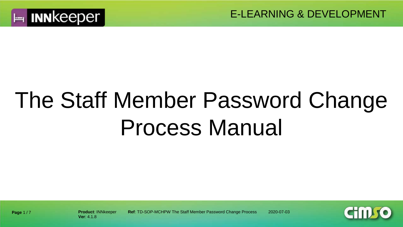

# The Staff Member Password Change Process Manual



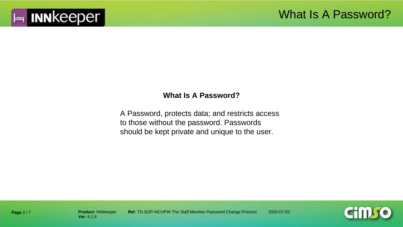

#### **What Is A Password?**

A Password, protects data; and restricts access to those without the password. Passwords should be kept private and unique to the user.



**Page** 2 / 7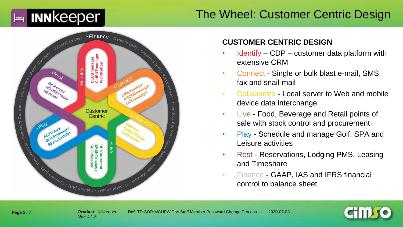## $\blacktriangleright$  INN keeper

## The Wheel: Customer Centric Design



#### **CUSTOMER CENTRIC DESIGN**

- $Identity CDP customer data platform with$ extensive CRM
- Connect Single or bulk blast e-mail, SMS, fax and snail-mail
- Collaborate Local server to Web and mobile device data interchange
- Live Food, Beverage and Retail points of sale with stock control and procurement
- Play Schedule and manage Golf, SPA and Leisure activities
- Rest Reservations, Lodging PMS, Leasing and Timeshare
- Finance GAAP, IAS and IFRS financial control to balance sheet

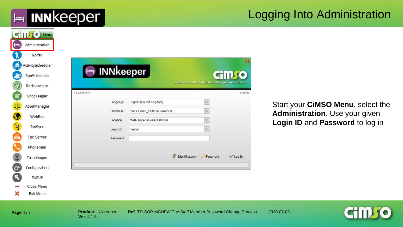**E INN** keeper

## Logging Into Administration

|                             | <b>CHILLIO</b> Menu               |
|-----------------------------|-----------------------------------|
| صرا                         | Administration                    |
|                             | Golfer                            |
| O                           | ActivityScheduler<br>SpaScheduler |
|                             | Restaurateur                      |
|                             | ShopKeeper                        |
| 40                          | AssetManager                      |
|                             | WebRes                            |
|                             |                                   |
| $\mathbf{Z}$                | InnSync                           |
| 鳳                           | Fax Server                        |
|                             | Phoneman                          |
| $\bar{z}$                   | TimeKeeper                        |
| $\ddot{\mathbf{o}}^{\circ}$ | Configuration                     |
|                             | <b>EXEUP</b>                      |
|                             | Close Menu                        |
| ×                           | Exit Menu                         |

Start your **CiMSO Menu**, select the **Administration**. Use your given **Login ID** and **Password** to log in

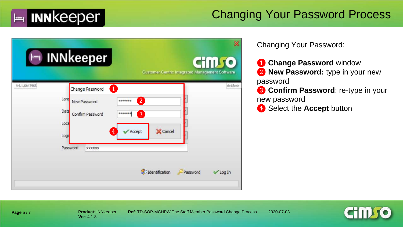

### Changing Your Password Process

|              | INNkeeper<br>Customer Centric Integrated Management Software                                                                                                                                                                                          | Ж<br><b>iilfo</b>   |
|--------------|-------------------------------------------------------------------------------------------------------------------------------------------------------------------------------------------------------------------------------------------------------|---------------------|
| V4.1.6b43966 | $\overline{1}$<br>Change Password<br>Land<br>$\overline{2}$<br>******<br>New Password<br>Data<br>3<br>******<br>Confirm Password<br>Loca<br>X Cancel<br>Accept<br>4<br>Logi<br>Password<br><b>XXXXXX</b><br>d <sup>o</sup> Identification<br>Password | de18cde<br>√ Log In |

Changing Your Password:

- **Change Password** window ❷ **New Password:** type in your new password
- ❸ **Confirm Password**: re-type in your new password
- **4** Select the **Accept** button



**Product**: INNkeeper **Ref**: TD-SOP-MCHPW The Staff Member Password Change Process 2020-07-03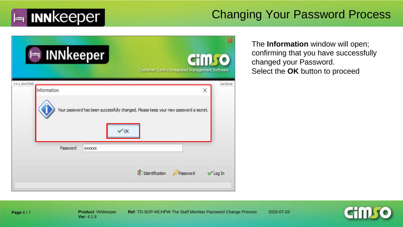

### Changing Your Password Process

| Im INNkeeper                |                                                                                      | 1150<br>Customer Centric Integrated Management Software |
|-----------------------------|--------------------------------------------------------------------------------------|---------------------------------------------------------|
| V4.1.6b43966<br>Information | Your password has been successfully changed. Please keep your new password a secret. | de18cde<br>×                                            |
| Password                    | OK<br>1000000000000000000000000000000000000<br><b>XXXXXX</b>                         |                                                         |
|                             | dentification                                                                        | Password<br>√ Log In                                    |

The **Information** window will open; confirming that you have successfully changed your Password. Select the **OK** button to proceed



**Product**: INNkeeper **Ref**: TD-SOP-MCHPW The Staff Member Password Change Process 2020-07-03